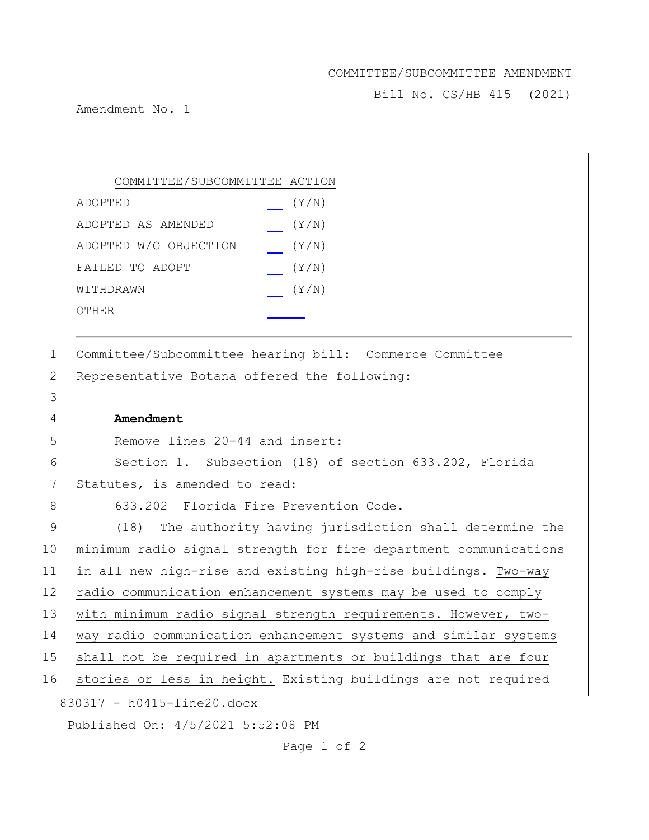## COMMITTEE/SUBCOMMITTEE AMENDMENT

Bill No. CS/HB 415 (2021)

Amendment No. 1

| COMMITTEE/SUBCOMMITTEE ACTION |       |
|-------------------------------|-------|
| ADOPTED                       | (Y/N) |
| ADOPTED AS AMENDED            | (Y/N) |
| ADOPTED W/O OBJECTION         | (Y/N) |
| FAILED TO ADOPT               | (Y/N) |
| WITHDRAWN                     | (Y/N) |
| OTHER                         |       |

1 Committee/Subcommittee hearing bill: Commerce Committee 2 Representative Botana offered the following:

4 **Amendment**

5 Remove lines 20-44 and insert:

6 Section 1. Subsection (18) of section 633.202, Florida 7 Statutes, is amended to read:

3

8 633.202 Florida Fire Prevention Code.-

830317 - h0415-line20.docx Published On: 4/5/2021 5:52:08 PM 9 (18) The authority having jurisdiction shall determine the 10 minimum radio signal strength for fire department communications 11 in all new high-rise and existing high-rise buildings. Two-way 12 radio communication enhancement systems may be used to comply 13 with minimum radio signal strength requirements. However, two-14 way radio communication enhancement systems and similar systems 15 shall not be required in apartments or buildings that are four 16 stories or less in height. Existing buildings are not required